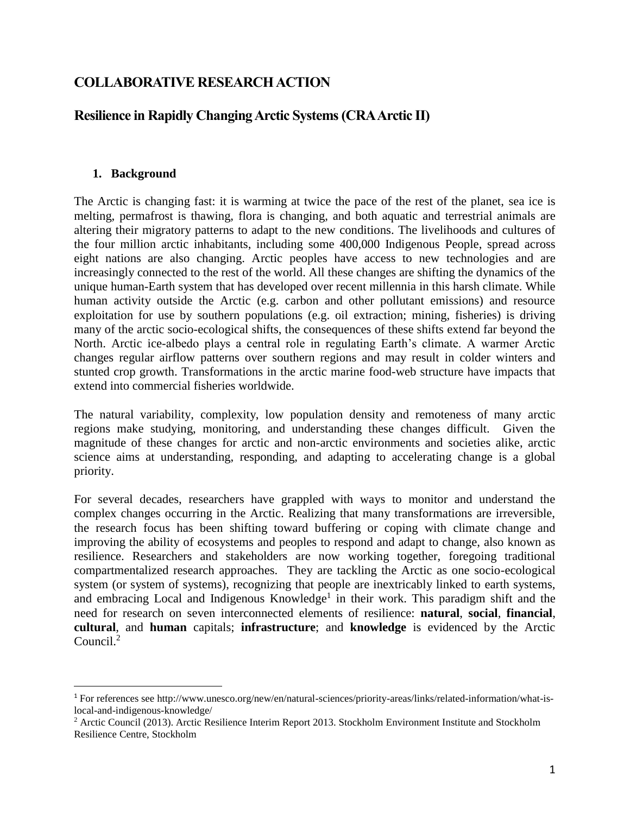# **COLLABORATIVE RESEARCH ACTION**

# **Resilience in Rapidly Changing Arctic Systems (CRA Arctic II)**

#### **1. Background**

 $\overline{a}$ 

The Arctic is changing fast: it is warming at twice the pace of the rest of the planet, sea ice is melting, permafrost is thawing, flora is changing, and both aquatic and terrestrial animals are altering their migratory patterns to adapt to the new conditions. The livelihoods and cultures of the four million arctic inhabitants, including some 400,000 Indigenous People, spread across eight nations are also changing. Arctic peoples have access to new technologies and are increasingly connected to the rest of the world. All these changes are shifting the dynamics of the unique human-Earth system that has developed over recent millennia in this harsh climate. While human activity outside the Arctic (e.g. carbon and other pollutant emissions) and resource exploitation for use by southern populations (e.g. oil extraction; mining, fisheries) is driving many of the arctic socio-ecological shifts, the consequences of these shifts extend far beyond the North. Arctic ice-albedo plays a central role in regulating Earth's climate. A warmer Arctic changes regular airflow patterns over southern regions and may result in colder winters and stunted crop growth. Transformations in the arctic marine food-web structure have impacts that extend into commercial fisheries worldwide.

The natural variability, complexity, low population density and remoteness of many arctic regions make studying, monitoring, and understanding these changes difficult. Given the magnitude of these changes for arctic and non-arctic environments and societies alike, arctic science aims at understanding, responding, and adapting to accelerating change is a global priority.

For several decades, researchers have grappled with ways to monitor and understand the complex changes occurring in the Arctic. Realizing that many transformations are irreversible, the research focus has been shifting toward buffering or coping with climate change and improving the ability of ecosystems and peoples to respond and adapt to change, also known as resilience. Researchers and stakeholders are now working together, foregoing traditional compartmentalized research approaches. They are tackling the Arctic as one socio-ecological system (or system of systems), recognizing that people are inextricably linked to earth systems, and embracing Local and Indigenous Knowledge<sup>1</sup> in their work. This paradigm shift and the need for research on seven interconnected elements of resilience: **natural**, **social**, **financial**, **cultural**, and **human** capitals; **infrastructure**; and **knowledge** is evidenced by the Arctic Council.<sup>2</sup>

<sup>1</sup> For references see http://www.unesco.org/new/en/natural-sciences/priority-areas/links/related-information/what-islocal-and-indigenous-knowledge/

<sup>&</sup>lt;sup>2</sup> Arctic Council (2013). Arctic Resilience Interim Report 2013. Stockholm Environment Institute and Stockholm Resilience Centre, Stockholm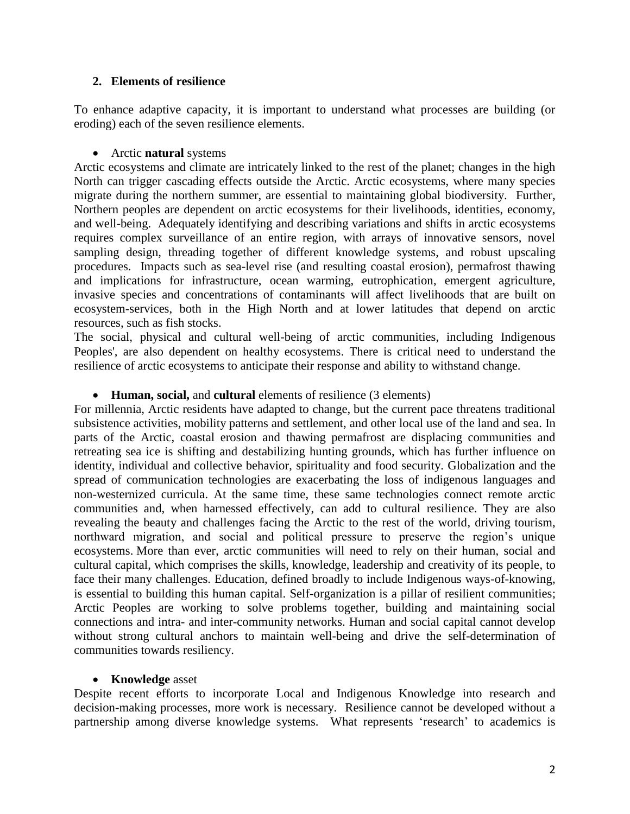#### **2. Elements of resilience**

To enhance adaptive capacity, it is important to understand what processes are building (or eroding) each of the seven resilience elements.

#### Arctic **natural** systems

Arctic ecosystems and climate are intricately linked to the rest of the planet; changes in the high North can trigger cascading effects outside the Arctic. Arctic ecosystems, where many species migrate during the northern summer, are essential to maintaining global biodiversity. Further, Northern peoples are dependent on arctic ecosystems for their livelihoods, identities, economy, and well-being. Adequately identifying and describing variations and shifts in arctic ecosystems requires complex surveillance of an entire region, with arrays of innovative sensors, novel sampling design, threading together of different knowledge systems, and robust upscaling procedures. Impacts such as sea-level rise (and resulting coastal erosion), permafrost thawing and implications for infrastructure, ocean warming, eutrophication, emergent agriculture, invasive species and concentrations of contaminants will affect livelihoods that are built on ecosystem-services, both in the High North and at lower latitudes that depend on arctic resources, such as fish stocks.

The social, physical and cultural well-being of arctic communities, including Indigenous Peoples', are also dependent on healthy ecosystems. There is critical need to understand the resilience of arctic ecosystems to anticipate their response and ability to withstand change.

## **Human, social,** and **cultural** elements of resilience (3 elements)

For millennia, Arctic residents have adapted to change, but the current pace threatens traditional subsistence activities, mobility patterns and settlement, and other local use of the land and sea. In parts of the Arctic, coastal erosion and thawing permafrost are displacing communities and retreating sea ice is shifting and destabilizing hunting grounds, which has further influence on identity, individual and collective behavior, spirituality and food security. Globalization and the spread of communication technologies are exacerbating the loss of indigenous languages and non-westernized curricula. At the same time, these same technologies connect remote arctic communities and, when harnessed effectively, can add to cultural resilience. They are also revealing the beauty and challenges facing the Arctic to the rest of the world, driving tourism, northward migration, and social and political pressure to preserve the region's unique ecosystems. More than ever, arctic communities will need to rely on their human, social and cultural capital, which comprises the skills, knowledge, leadership and creativity of its people, to face their many challenges. Education, defined broadly to include Indigenous ways-of-knowing, is essential to building this human capital. Self-organization is a pillar of resilient communities; Arctic Peoples are working to solve problems together, building and maintaining social connections and intra- and inter-community networks. Human and social capital cannot develop without strong cultural anchors to maintain well-being and drive the self-determination of communities towards resiliency.

## **Knowledge** asset

Despite recent efforts to incorporate Local and Indigenous Knowledge into research and decision-making processes, more work is necessary. Resilience cannot be developed without a partnership among diverse knowledge systems. What represents 'research' to academics is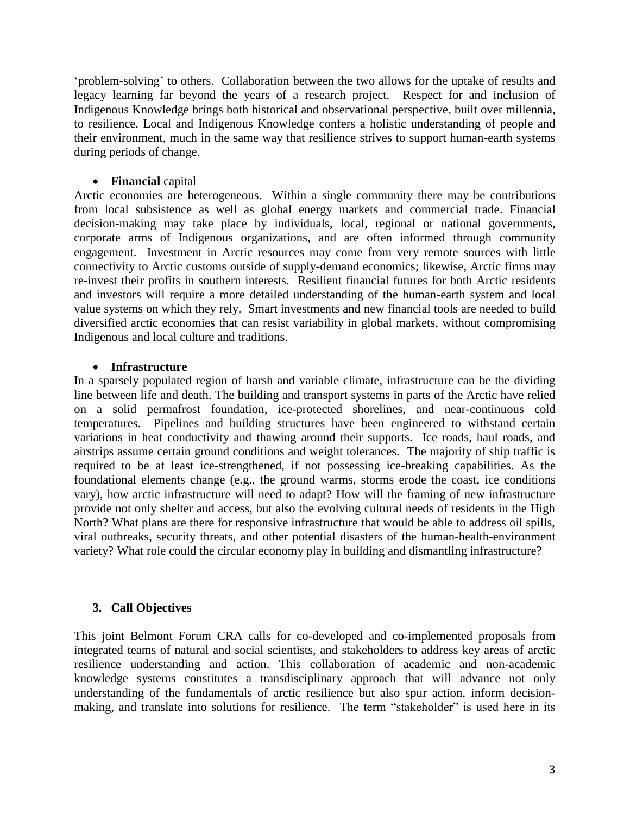'problem-solving' to others. Collaboration between the two allows for the uptake of results and legacy learning far beyond the years of a research project. Respect for and inclusion of Indigenous Knowledge brings both historical and observational perspective, built over millennia, to resilience. Local and Indigenous Knowledge confers a holistic understanding of people and their environment, much in the same way that resilience strives to support human-earth systems during periods of change.

#### **Financial** capital

Arctic economies are heterogeneous. Within a single community there may be contributions from local subsistence as well as global energy markets and commercial trade. Financial decision-making may take place by individuals, local, regional or national governments, corporate arms of Indigenous organizations, and are often informed through community engagement. Investment in Arctic resources may come from very remote sources with little connectivity to Arctic customs outside of supply-demand economics; likewise, Arctic firms may re-invest their profits in southern interests. Resilient financial futures for both Arctic residents and investors will require a more detailed understanding of the human-earth system and local value systems on which they rely. Smart investments and new financial tools are needed to build diversified arctic economies that can resist variability in global markets, without compromising Indigenous and local culture and traditions.

#### **Infrastructure**

In a sparsely populated region of harsh and variable climate, infrastructure can be the dividing line between life and death. The building and transport systems in parts of the Arctic have relied on a solid permafrost foundation, ice-protected shorelines, and near-continuous cold temperatures. Pipelines and building structures have been engineered to withstand certain variations in heat conductivity and thawing around their supports. Ice roads, haul roads, and airstrips assume certain ground conditions and weight tolerances. The majority of ship traffic is required to be at least ice-strengthened, if not possessing ice-breaking capabilities. As the foundational elements change (e.g., the ground warms, storms erode the coast, ice conditions vary), how arctic infrastructure will need to adapt? How will the framing of new infrastructure provide not only shelter and access, but also the evolving cultural needs of residents in the High North? What plans are there for responsive infrastructure that would be able to address oil spills, viral outbreaks, security threats, and other potential disasters of the human-health-environment variety? What role could the circular economy play in building and dismantling infrastructure?

## **3. Call Objectives**

This joint Belmont Forum CRA calls for co-developed and co-implemented proposals from integrated teams of natural and social scientists, and stakeholders to address key areas of arctic resilience understanding and action. This collaboration of academic and non-academic knowledge systems constitutes a transdisciplinary approach that will advance not only understanding of the fundamentals of arctic resilience but also spur action, inform decisionmaking, and translate into solutions for resilience. The term "stakeholder" is used here in its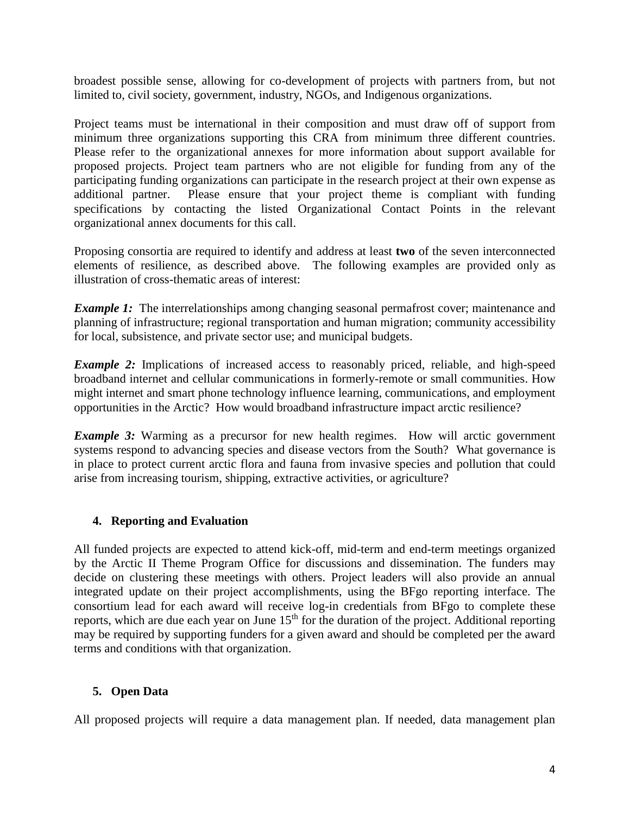broadest possible sense, allowing for co-development of projects with partners from, but not limited to, civil society, government, industry, NGOs, and Indigenous organizations.

Project teams must be international in their composition and must draw off of support from minimum three organizations supporting this CRA from minimum three different countries. Please refer to the organizational annexes for more information about support available for proposed projects. Project team partners who are not eligible for funding from any of the participating funding organizations can participate in the research project at their own expense as additional partner. Please ensure that your project theme is compliant with funding specifications by contacting the listed Organizational Contact Points in the relevant organizational annex documents for this call.

Proposing consortia are required to identify and address at least **two** of the seven interconnected elements of resilience, as described above. The following examples are provided only as illustration of cross-thematic areas of interest:

*Example 1:* The interrelationships among changing seasonal permafrost cover; maintenance and planning of infrastructure; regional transportation and human migration; community accessibility for local, subsistence, and private sector use; and municipal budgets.

*Example 2:* Implications of increased access to reasonably priced, reliable, and high-speed broadband internet and cellular communications in formerly-remote or small communities. How might internet and smart phone technology influence learning, communications, and employment opportunities in the Arctic? How would broadband infrastructure impact arctic resilience?

*Example 3:* Warming as a precursor for new health regimes. How will arctic government systems respond to advancing species and disease vectors from the South? What governance is in place to protect current arctic flora and fauna from invasive species and pollution that could arise from increasing tourism, shipping, extractive activities, or agriculture?

## **4. Reporting and Evaluation**

All funded projects are expected to attend kick-off, mid-term and end-term meetings organized by the Arctic II Theme Program Office for discussions and dissemination. The funders may decide on clustering these meetings with others. Project leaders will also provide an annual integrated update on their project accomplishments, using the BFgo reporting interface. The consortium lead for each award will receive log-in credentials from BFgo to complete these reports, which are due each year on June  $15<sup>th</sup>$  for the duration of the project. Additional reporting may be required by supporting funders for a given award and should be completed per the award terms and conditions with that organization.

## **5. Open Data**

All proposed projects will require a data management plan. If needed, data management plan